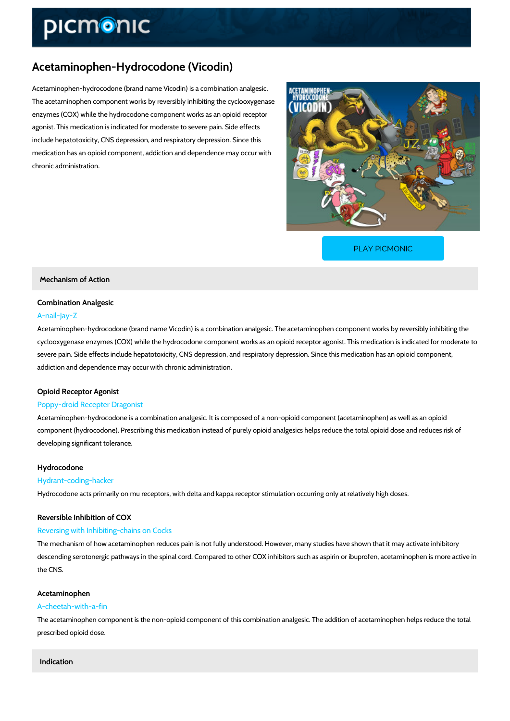# Acetaminophen-Hydrocodone (Vicodin)

Acetaminophen-hydrocodone (brand name Vicodin) is a combination analgesic. The acetaminophen component works by reversibly inhibiting the cyclooxygenase enzymes (COX) while the hydrocodone component works as an opioid receptor agonist. This medication is indicated for moderate to severe pain. Side effects include hepatotoxicity, CNS depression, and respiratory depression. Since this medication has an opioid component, addiction and dependence may occur with chronic administration.

[PLAY PICMONIC](https://www.picmonic.com/learn/acetaminophen-hydrocodone-vicodin_10355?utm_source=downloadable_content&utm_medium=distributedcontent&utm_campaign=pathways_pdf&utm_content=Acetaminophen-Hydrocodone (Vicodin)&utm_ad_group=leads&utm_market=all)

Mechanism of Action

# Combination Analgesic A-nail-Jay-Z

Acetaminophen-hydrocodone (brand name Vicodin) is a combination analgesic. The acetaminop cyclooxygenase enzymes (COX) while the hydrocodone component works as an opioid receptor severe pain. Side effects include hepatotoxicity, CNS depression, and respiratory depression. addiction and dependence may occur with chronic administration.

# Opioid Receptor Agonist

## Poppy-droid Recepter Dragonist

Acetaminophen-hydrocodone is a combination analgesic. It is composed of a non-opioid compo component (hydrocodone). Prescribing this medication instead of purely opioid analgesics hel developing significant tolerance.

### Hydrocodone

## Hydrant-coding-hacker

Hydrocodone acts primarily on mu receptors, with delta and kappa receptor stimulation occurr

## Reversible Inhibition of COX

### Reversing with Inhibiting-chains on Cocks

The mechanism of how acetaminophen reduces pain is not fully understood. However, many st descending serotonergic pathways in the spinal cord. Compared to other COX inhibitors such and the CNS.

### Acetaminophen

### A-cheetah-with-a-fin

The acetaminophen component is the non-opioid component of this combination analgesic. The prescribed opioid dose.

Indication